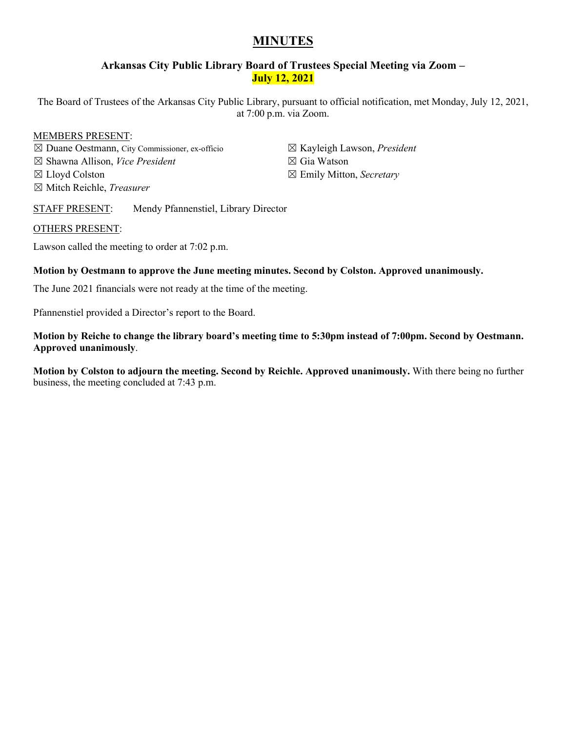# **MINUTES**

# **Arkansas City Public Library Board of Trustees Special Meeting via Zoom – July 12, 2021**

The Board of Trustees of the Arkansas City Public Library, pursuant to official notification, met Monday, July 12, 2021, at 7:00 p.m. via Zoom.

#### MEMBERS PRESENT:

☒ Duane Oestmann, City Commissioner, ex-officio ☒ Shawna Allison, *Vice President* ☒ Lloyd Colston ☒ Mitch Reichle, *Treasurer*

☒ Kayleigh Lawson, *President* ☒ Gia Watson ☒ Emily Mitton, *Secretary*

# STAFF PRESENT: Mendy Pfannenstiel, Library Director

#### OTHERS PRESENT:

Lawson called the meeting to order at 7:02 p.m.

#### **Motion by Oestmann to approve the June meeting minutes. Second by Colston. Approved unanimously.**

The June 2021 financials were not ready at the time of the meeting.

Pfannenstiel provided a Director's report to the Board.

**Motion by Reiche to change the library board's meeting time to 5:30pm instead of 7:00pm. Second by Oestmann. Approved unanimously**.

**Motion by Colston to adjourn the meeting. Second by Reichle. Approved unanimously.** With there being no further business, the meeting concluded at 7:43 p.m.